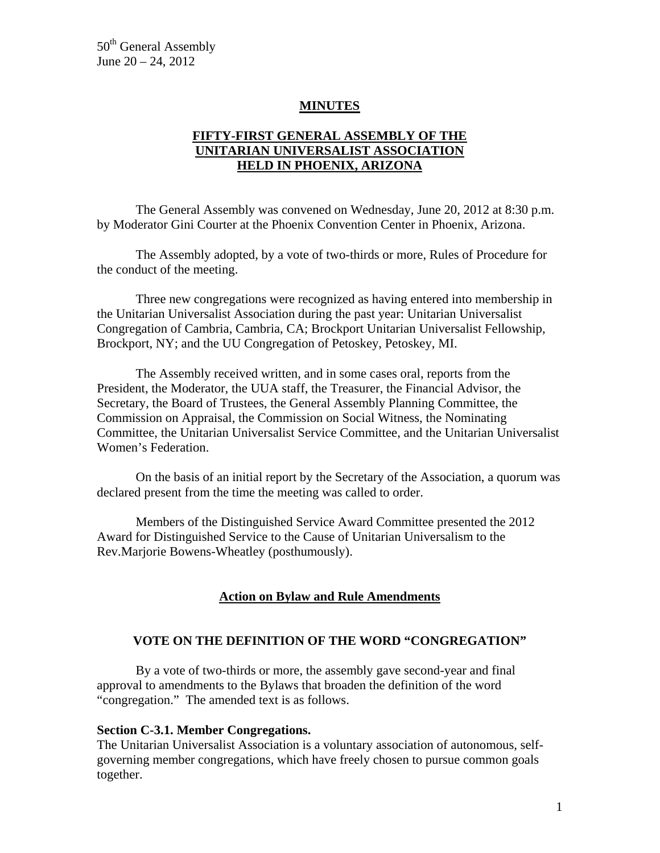50<sup>th</sup> General Assembly June 20 – 24, 2012

#### **MINUTES**

## **FIFTY-FIRST GENERAL ASSEMBLY OF THE UNITARIAN UNIVERSALIST ASSOCIATION HELD IN PHOENIX, ARIZONA**

 The General Assembly was convened on Wednesday, June 20, 2012 at 8:30 p.m. by Moderator Gini Courter at the Phoenix Convention Center in Phoenix, Arizona.

 The Assembly adopted, by a vote of two-thirds or more, Rules of Procedure for the conduct of the meeting.

 Three new congregations were recognized as having entered into membership in the Unitarian Universalist Association during the past year: Unitarian Universalist Congregation of Cambria, Cambria, CA; Brockport Unitarian Universalist Fellowship, Brockport, NY; and the UU Congregation of Petoskey, Petoskey, MI.

 The Assembly received written, and in some cases oral, reports from the President, the Moderator, the UUA staff, the Treasurer, the Financial Advisor, the Secretary, the Board of Trustees, the General Assembly Planning Committee, the Commission on Appraisal, the Commission on Social Witness, the Nominating Committee, the Unitarian Universalist Service Committee, and the Unitarian Universalist Women's Federation.

 On the basis of an initial report by the Secretary of the Association, a quorum was declared present from the time the meeting was called to order.

 Members of the Distinguished Service Award Committee presented the 2012 Award for Distinguished Service to the Cause of Unitarian Universalism to the Rev.Marjorie Bowens-Wheatley (posthumously).

#### **Action on Bylaw and Rule Amendments**

#### **VOTE ON THE DEFINITION OF THE WORD "CONGREGATION"**

By a vote of two-thirds or more, the assembly gave second-year and final approval to amendments to the Bylaws that broaden the definition of the word "congregation." The amended text is as follows.

#### **Section C-3.1. Member Congregations.**

The Unitarian Universalist Association is a voluntary association of autonomous, selfgoverning member congregations, which have freely chosen to pursue common goals together.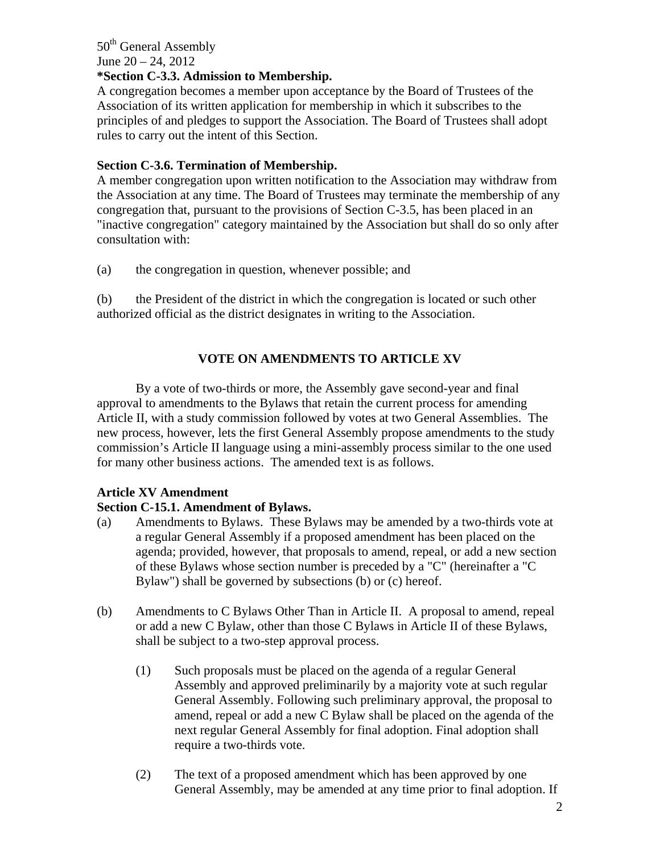#### 50<sup>th</sup> General Assembly June 20 – 24, 2012 **\*Section C-3.3. Admission to Membership.**

A congregation becomes a member upon acceptance by the Board of Trustees of the Association of its written application for membership in which it subscribes to the principles of and pledges to support the Association. The Board of Trustees shall adopt rules to carry out the intent of this Section.

## **Section C-3.6. Termination of Membership.**

A member congregation upon written notification to the Association may withdraw from the Association at any time. The Board of Trustees may terminate the membership of any congregation that, pursuant to the provisions of Section C-3.5, has been placed in an "inactive congregation" category maintained by the Association but shall do so only after consultation with:

(a) the congregation in question, whenever possible; and

(b) the President of the district in which the congregation is located or such other authorized official as the district designates in writing to the Association.

# **VOTE ON AMENDMENTS TO ARTICLE XV**

By a vote of two-thirds or more, the Assembly gave second-year and final approval to amendments to the Bylaws that retain the current process for amending Article II, with a study commission followed by votes at two General Assemblies. The new process, however, lets the first General Assembly propose amendments to the study commission's Article II language using a mini-assembly process similar to the one used for many other business actions. The amended text is as follows.

# **Article XV Amendment**

# **Section C-15.1. Amendment of Bylaws.**

- (a) Amendments to Bylaws. These Bylaws may be amended by a two-thirds vote at a regular General Assembly if a proposed amendment has been placed on the agenda; provided, however, that proposals to amend, repeal, or add a new section of these Bylaws whose section number is preceded by a "C" (hereinafter a "C Bylaw") shall be governed by subsections (b) or (c) hereof.
- (b) Amendments to C Bylaws Other Than in Article II. A proposal to amend, repeal or add a new C Bylaw, other than those C Bylaws in Article II of these Bylaws, shall be subject to a two-step approval process.
	- (1) Such proposals must be placed on the agenda of a regular General Assembly and approved preliminarily by a majority vote at such regular General Assembly. Following such preliminary approval, the proposal to amend, repeal or add a new C Bylaw shall be placed on the agenda of the next regular General Assembly for final adoption. Final adoption shall require a two-thirds vote.
	- (2) The text of a proposed amendment which has been approved by one General Assembly, may be amended at any time prior to final adoption. If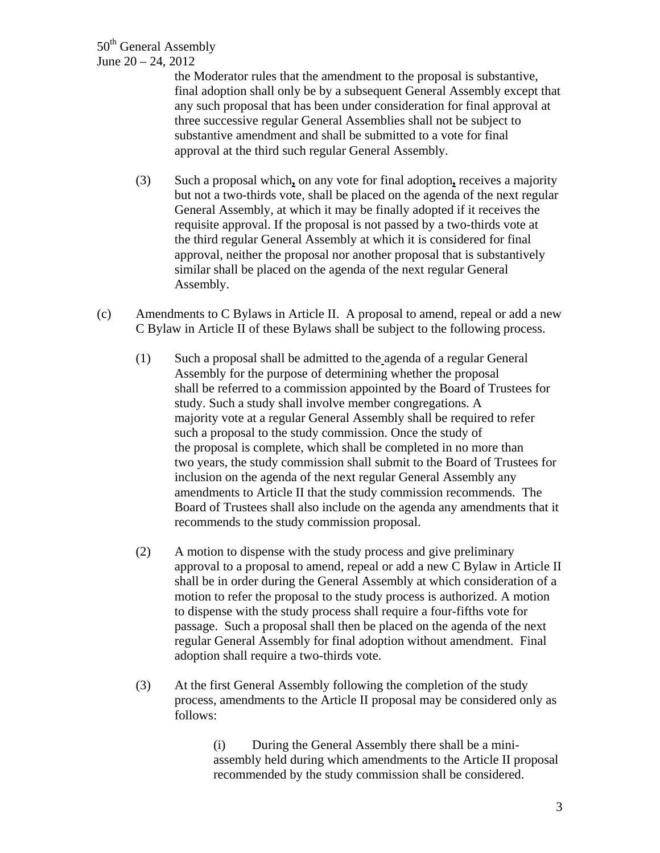the Moderator rules that the amendment to the proposal is substantive, final adoption shall only be by a subsequent General Assembly except that any such proposal that has been under consideration for final approval at three successive regular General Assemblies shall not be subject to substantive amendment and shall be submitted to a vote for final approval at the third such regular General Assembly.

- (3) Such a proposal which**,** on any vote for final adoption**,** receives a majority but not a two-thirds vote, shall be placed on the agenda of the next regular General Assembly, at which it may be finally adopted if it receives the requisite approval. If the proposal is not passed by a two-thirds vote at the third regular General Assembly at which it is considered for final approval, neither the proposal nor another proposal that is substantively similar shall be placed on the agenda of the next regular General Assembly.
- (c) Amendments to C Bylaws in Article II. A proposal to amend, repeal or add a new C Bylaw in Article II of these Bylaws shall be subject to the following process.
	- (1) Such a proposal shall be admitted to the agenda of a regular General Assembly for the purpose of determining whether the proposal shall be referred to a commission appointed by the Board of Trustees for study. Such a study shall involve member congregations. A majority vote at a regular General Assembly shall be required to refer such a proposal to the study commission. Once the study of the proposal is complete, which shall be completed in no more than two years, the study commission shall submit to the Board of Trustees for inclusion on the agenda of the next regular General Assembly any amendments to Article II that the study commission recommends. The Board of Trustees shall also include on the agenda any amendments that it recommends to the study commission proposal.
	- (2) A motion to dispense with the study process and give preliminary approval to a proposal to amend, repeal or add a new C Bylaw in Article II shall be in order during the General Assembly at which consideration of a motion to refer the proposal to the study process is authorized. A motion to dispense with the study process shall require a four-fifths vote for passage. Such a proposal shall then be placed on the agenda of the next regular General Assembly for final adoption without amendment. Final adoption shall require a two-thirds vote.
	- (3) At the first General Assembly following the completion of the study process, amendments to the Article II proposal may be considered only as follows:

(i) During the General Assembly there shall be a miniassembly held during which amendments to the Article II proposal recommended by the study commission shall be considered.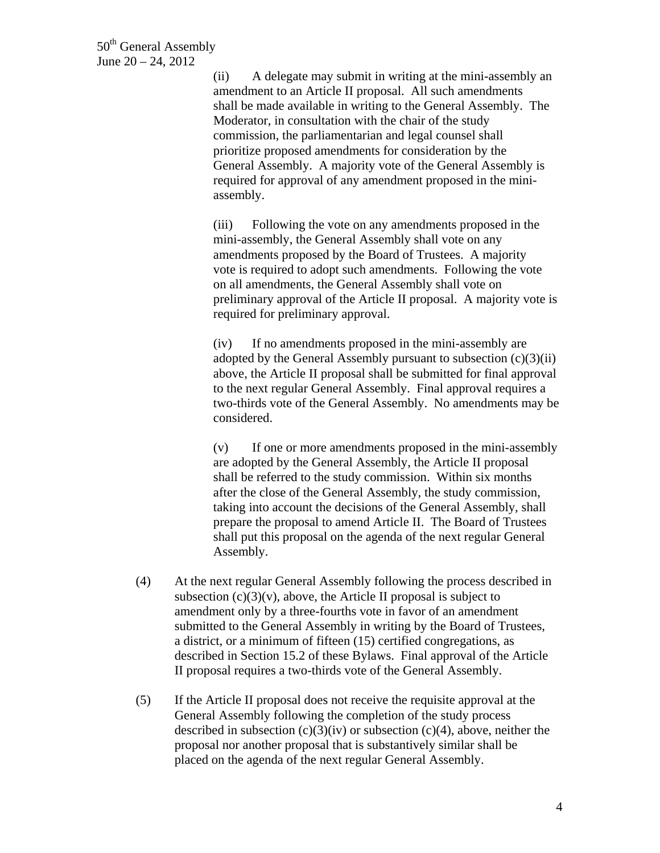(ii) A delegate may submit in writing at the mini-assembly an amendment to an Article II proposal. All such amendments shall be made available in writing to the General Assembly. The Moderator, in consultation with the chair of the study commission, the parliamentarian and legal counsel shall prioritize proposed amendments for consideration by the General Assembly. A majority vote of the General Assembly is required for approval of any amendment proposed in the miniassembly.

(iii) Following the vote on any amendments proposed in the mini-assembly, the General Assembly shall vote on any amendments proposed by the Board of Trustees. A majority vote is required to adopt such amendments. Following the vote on all amendments, the General Assembly shall vote on preliminary approval of the Article II proposal. A majority vote is required for preliminary approval.

(iv) If no amendments proposed in the mini-assembly are adopted by the General Assembly pursuant to subsection  $(c)(3)(ii)$ above, the Article II proposal shall be submitted for final approval to the next regular General Assembly. Final approval requires a two-thirds vote of the General Assembly. No amendments may be considered.

(v) If one or more amendments proposed in the mini-assembly are adopted by the General Assembly, the Article II proposal shall be referred to the study commission. Within six months after the close of the General Assembly, the study commission, taking into account the decisions of the General Assembly, shall prepare the proposal to amend Article II. The Board of Trustees shall put this proposal on the agenda of the next regular General Assembly.

- (4) At the next regular General Assembly following the process described in subsection  $(c)(3)(v)$ , above, the Article II proposal is subject to amendment only by a three-fourths vote in favor of an amendment submitted to the General Assembly in writing by the Board of Trustees, a district, or a minimum of fifteen (15) certified congregations, as described in Section 15.2 of these Bylaws. Final approval of the Article II proposal requires a two-thirds vote of the General Assembly.
- (5) If the Article II proposal does not receive the requisite approval at the General Assembly following the completion of the study process described in subsection  $(c)(3)(iv)$  or subsection  $(c)(4)$ , above, neither the proposal nor another proposal that is substantively similar shall be placed on the agenda of the next regular General Assembly.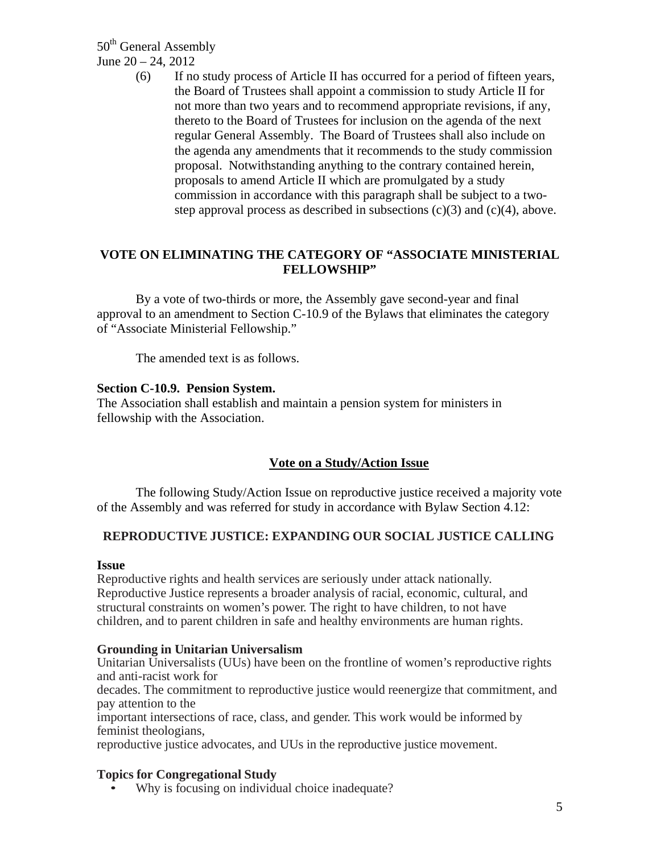50<sup>th</sup> General Assembly June 20 – 24, 2012

> (6) If no study process of Article II has occurred for a period of fifteen years, the Board of Trustees shall appoint a commission to study Article II for not more than two years and to recommend appropriate revisions, if any, thereto to the Board of Trustees for inclusion on the agenda of the next regular General Assembly. The Board of Trustees shall also include on the agenda any amendments that it recommends to the study commission proposal. Notwithstanding anything to the contrary contained herein, proposals to amend Article II which are promulgated by a study commission in accordance with this paragraph shall be subject to a twostep approval process as described in subsections  $(c)(3)$  and  $(c)(4)$ , above.

### **VOTE ON ELIMINATING THE CATEGORY OF "ASSOCIATE MINISTERIAL FELLOWSHIP"**

By a vote of two-thirds or more, the Assembly gave second-year and final approval to an amendment to Section C-10.9 of the Bylaws that eliminates the category of "Associate Ministerial Fellowship."

The amended text is as follows.

#### **Section C-10.9. Pension System.**

The Association shall establish and maintain a pension system for ministers in fellowship with the Association.

# **Vote on a Study/Action Issue**

The following Study/Action Issue on reproductive justice received a majority vote of the Assembly and was referred for study in accordance with Bylaw Section 4.12:

### **REPRODUCTIVE JUSTICE: EXPANDING OUR SOCIAL JUSTICE CALLING**

#### **Issue**

Reproductive rights and health services are seriously under attack nationally. Reproductive Justice represents a broader analysis of racial, economic, cultural, and structural constraints on women's power. The right to have children, to not have children, and to parent children in safe and healthy environments are human rights.

#### **Grounding in Unitarian Universalism**

Unitarian Universalists (UUs) have been on the frontline of women's reproductive rights and anti-racist work for

decades. The commitment to reproductive justice would reenergize that commitment, and pay attention to the

important intersections of race, class, and gender. This work would be informed by feminist theologians,

reproductive justice advocates, and UUs in the reproductive justice movement.

### **Topics for Congregational Study**

Why is focusing on individual choice inadequate?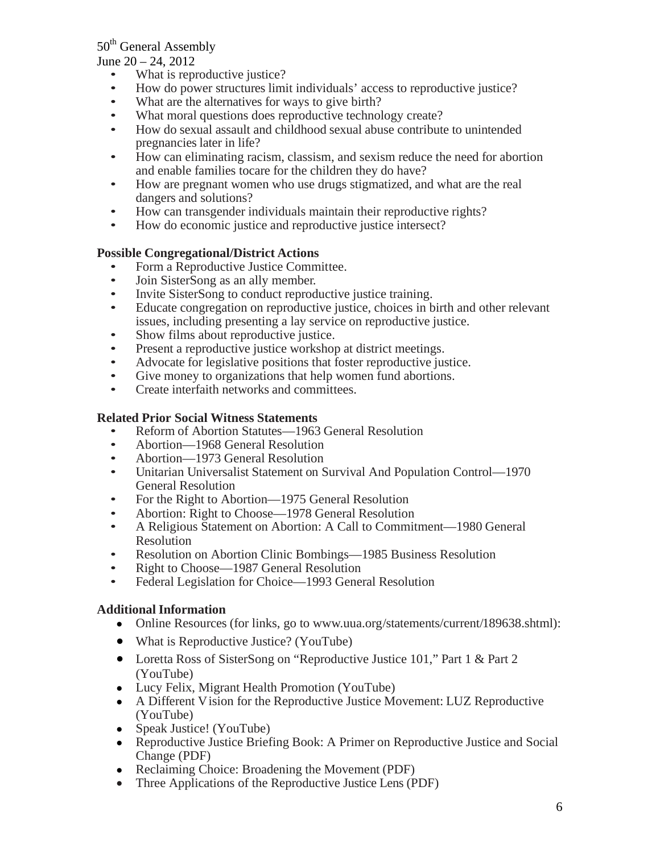# 50<sup>th</sup> General Assembly

June 20 – 24, 2012

- What is reproductive justice?
- How do power structures limit individuals' access to reproductive justice?
- What are the alternatives for ways to give birth?
- What moral questions does reproductive technology create?
- How do sexual assault and childhood sexual abuse contribute to unintended pregnancies later in life?
- How can eliminating racism, classism, and sexism reduce the need for abortion and enable families tocare for the children they do have?
- How are pregnant women who use drugs stigmatized, and what are the real dangers and solutions?
- How can transgender individuals maintain their reproductive rights?
- How do economic justice and reproductive justice intersect?

## **Possible Congregational/District Actions**

- Form a Reproductive Justice Committee.
- Join SisterSong as an ally member.
- Invite SisterSong to conduct reproductive justice training.
- Educate congregation on reproductive justice, choices in birth and other relevant issues, including presenting a lay service on reproductive justice.
- Show films about reproductive justice.
- Present a reproductive justice workshop at district meetings.
- Advocate for legislative positions that foster reproductive justice.
- Give money to organizations that help women fund abortions.
- Create interfaith networks and committees.

### **Related Prior Social Witness Statements**

- Reform of Abortion Statutes—1963 General Resolution
- Abortion—1968 General Resolution
- Abortion—1973 General Resolution
- Unitarian Universalist Statement on Survival And Population Control—1970 General Resolution
- For the Right to Abortion—1975 General Resolution
- Abortion: Right to Choose—1978 General Resolution
- A Religious Statement on Abortion: A Call to Commitment—1980 General Resolution
- Resolution on Abortion Clinic Bombings—1985 Business Resolution
- Right to Choose—1987 General Resolution
- Federal Legislation for Choice—1993 General Resolution

### **Additional Information**

- Online Resources (for links, go to [www.uua.org/statements/current/189638.shtml](http://www.uua.org/statements/current/189638.shtml)):
- What is Reproductive Justice? (YouTube)
- Loretta Ross of SisterSong on "Reproductive Justice 101," Part 1 & Part 2 (YouTube)
- Lucy Felix, Migrant Health Promotion (YouTube)
- A Different V ision for the Reproductive Justice Movement: LUZ Reproductive (YouTube)
- Speak Justice! (YouTube)
- Reproductive Justice Briefing Book: A Primer on Reproductive Justice and Social Change (PDF)
- Reclaiming Choice: Broadening the Movement (PDF)
- Three Applications of the Reproductive Justice Lens (PDF)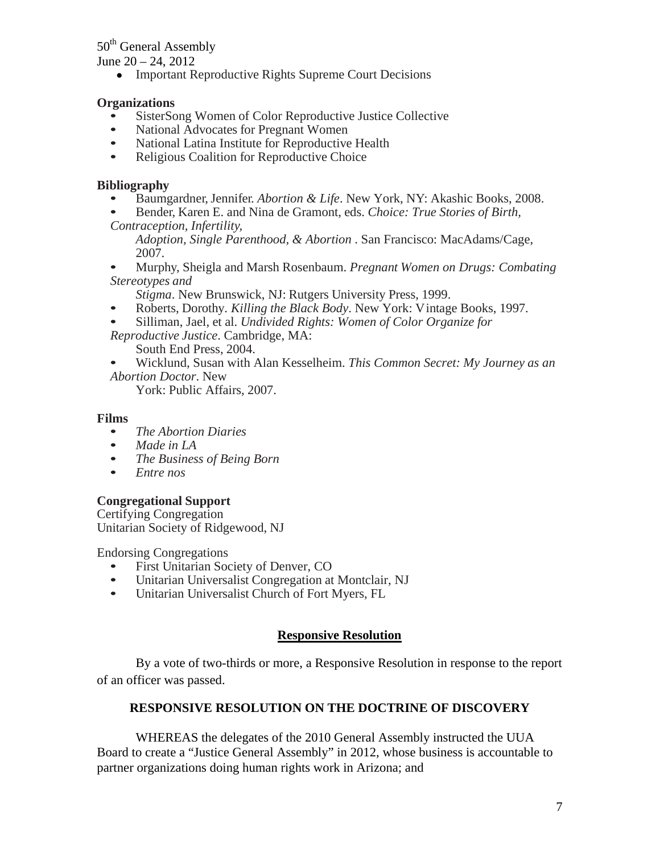# 50<sup>th</sup> General Assembly

June  $20 - 24$ ,  $2012$ 

• Important Reproductive Rights Supreme Court Decisions

### **Organizations**

- SisterSong Women of Color Reproductive Justice Collective
- National Advocates for Pregnant Women
- National Latina Institute for Reproductive Health
- Religious Coalition for Reproductive Choice

#### **Bibliography**

- Baumgardner, Jennifer. *Abortion & Life*. New York, NY: Akashic Books, 2008.
- Bender, Karen E. and Nina de Gramont, eds. *Choice: True Stories of Birth,*
- *Contraception, Infertility, Adoption, Single Parenthood, & Abortion* . San Francisco: MacAdams/Cage, 2007.
- Murphy, Sheigla and Marsh Rosenbaum. *Pregnant Women on Drugs: Combating Stereotypes and*
	- *Stigma*. New Brunswick, NJ: Rutgers University Press, 1999.
- Roberts, Dorothy*. Killing the Black Body*. New York: V intage Books, 1997.
- Silliman, Jael, et al. *Undivided Rights: Women of Color Organize for*
- *Reproductive Justice*. Cambridge, MA: South End Press, 2004.
- Wicklund, Susan with Alan Kesselheim. *This Common Secret: My Journey as an Abortion Doctor*. New

York: Public Affairs, 2007.

#### **Films**

- *The Abortion Diaries*
- *Made in LA*
- *The Business of Being Born*
- *Entre nos*

### **Congregational Support**

Certifying Congregation Unitarian Society of Ridgewood, NJ

Endorsing Congregations

- First Unitarian Society of Denver, CO<br>• Unitarian Universalist Congregation at
- Unitarian Universalist Congregation at Montclair, NJ
- Unitarian Universalist Church of Fort Myers, FL

### **Responsive Resolution**

 By a vote of two-thirds or more, a Responsive Resolution in response to the report of an officer was passed.

### **RESPONSIVE RESOLUTION ON THE DOCTRINE OF DISCOVERY**

WHEREAS the delegates of the 2010 General Assembly instructed the UUA Board to create a "Justice General Assembly" in 2012, whose business is accountable to partner organizations doing human rights work in Arizona; and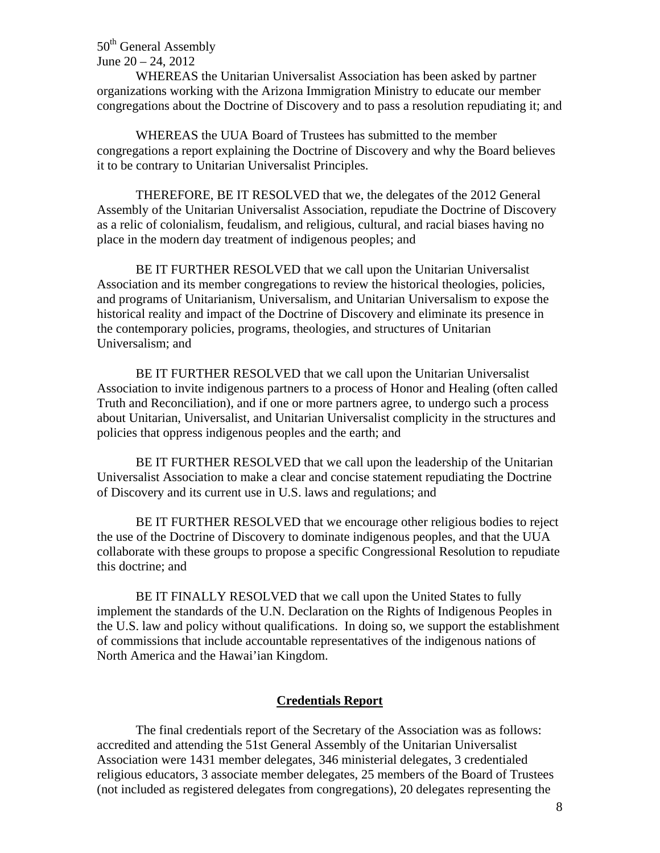50<sup>th</sup> General Assembly June  $20 - 24$ ,  $2012$ 

 WHEREAS the Unitarian Universalist Association has been asked by partner organizations working with the Arizona Immigration Ministry to educate our member congregations about the Doctrine of Discovery and to pass a resolution repudiating it; and

 WHEREAS the UUA Board of Trustees has submitted to the member congregations a report explaining the Doctrine of Discovery and why the Board believes it to be contrary to Unitarian Universalist Principles.

 THEREFORE, BE IT RESOLVED that we, the delegates of the 2012 General Assembly of the Unitarian Universalist Association, repudiate the Doctrine of Discovery as a relic of colonialism, feudalism, and religious, cultural, and racial biases having no place in the modern day treatment of indigenous peoples; and

 BE IT FURTHER RESOLVED that we call upon the Unitarian Universalist Association and its member congregations to review the historical theologies, policies, and programs of Unitarianism, Universalism, and Unitarian Universalism to expose the historical reality and impact of the Doctrine of Discovery and eliminate its presence in the contemporary policies, programs, theologies, and structures of Unitarian Universalism; and

 BE IT FURTHER RESOLVED that we call upon the Unitarian Universalist Association to invite indigenous partners to a process of Honor and Healing (often called Truth and Reconciliation), and if one or more partners agree, to undergo such a process about Unitarian, Universalist, and Unitarian Universalist complicity in the structures and policies that oppress indigenous peoples and the earth; and

 BE IT FURTHER RESOLVED that we call upon the leadership of the Unitarian Universalist Association to make a clear and concise statement repudiating the Doctrine of Discovery and its current use in U.S. laws and regulations; and

 BE IT FURTHER RESOLVED that we encourage other religious bodies to reject the use of the Doctrine of Discovery to dominate indigenous peoples, and that the UUA collaborate with these groups to propose a specific Congressional Resolution to repudiate this doctrine; and

 BE IT FINALLY RESOLVED that we call upon the United States to fully implement the standards of the U.N. Declaration on the Rights of Indigenous Peoples in the U.S. law and policy without qualifications. In doing so, we support the establishment of commissions that include accountable representatives of the indigenous nations of North America and the Hawai'ian Kingdom.

#### **Credentials Report**

 The final credentials report of the Secretary of the Association was as follows: accredited and attending the 51st General Assembly of the Unitarian Universalist Association were 1431 member delegates, 346 ministerial delegates, 3 credentialed religious educators, 3 associate member delegates, 25 members of the Board of Trustees (not included as registered delegates from congregations), 20 delegates representing the